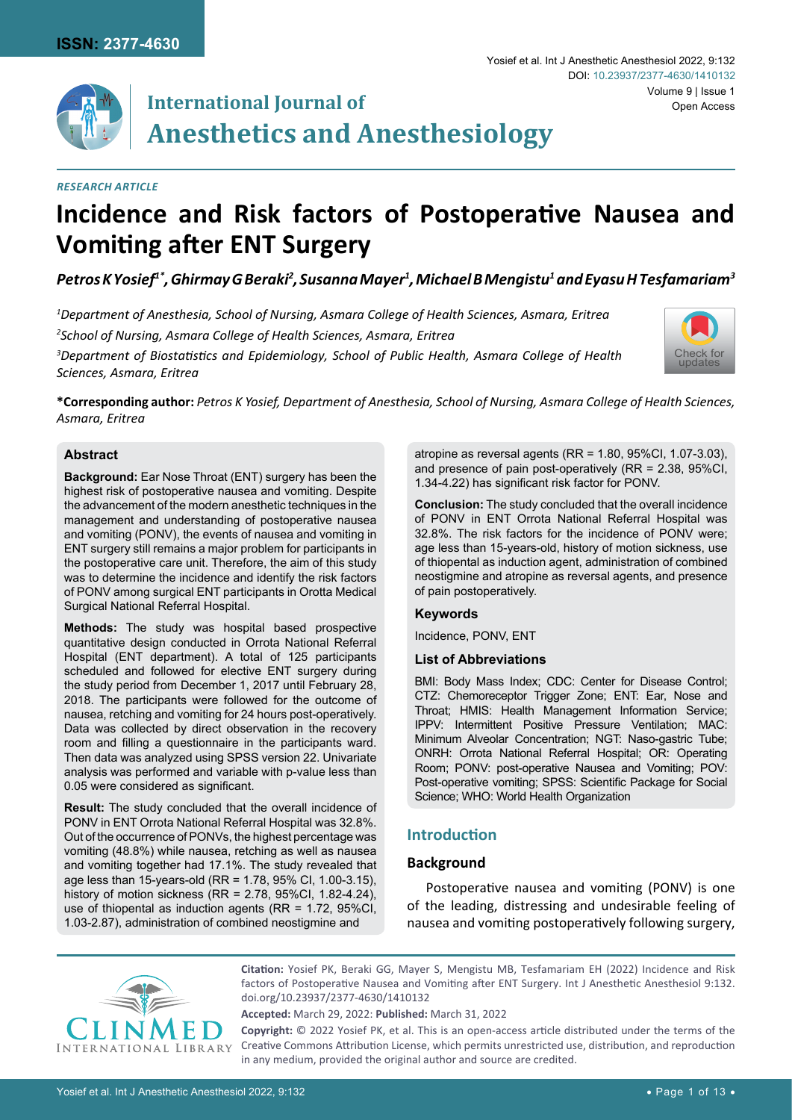

## **International Journal of Anesthetics and Anesthesiology**

## *Research Article*

# **Incidence and Risk factors of Postoperative Nausea and Vomiting after ENT Surgery**

## *Petros K Yosief1\*, Ghirmay G Beraki2 , Susanna Mayer1 , Michael B Mengistu1 and Eyasu H Tesfamariam3*

 *Department of Anesthesia, School of Nursing, Asmara College of Health Sciences, Asmara, Eritrea School of Nursing, Asmara College of Health Sciences, Asmara, Eritrea Department of Biostatistics and Epidemiology, School of Public Health, Asmara College of Health Sciences, Asmara, Eritrea*



Volume 9 | Issue 1

DOI: [10.23937/2377-4630/1410132](https://doi.org/10.23937/2377-4630/1410132)

Open Access

**\*Corresponding author:** *Petros K Yosief, Department of Anesthesia, School of Nursing, Asmara College of Health Sciences, Asmara, Eritrea*

### **Abstract**

**Background:** Ear Nose Throat (ENT) surgery has been the highest risk of postoperative nausea and vomiting. Despite the advancement of the modern anesthetic techniques in the management and understanding of postoperative nausea and vomiting (PONV), the events of nausea and vomiting in ENT surgery still remains a major problem for participants in the postoperative care unit. Therefore, the aim of this study was to determine the incidence and identify the risk factors of PONV among surgical ENT participants in Orotta Medical Surgical National Referral Hospital.

**Methods:** The study was hospital based prospective quantitative design conducted in Orrota National Referral Hospital (ENT department). A total of 125 participants scheduled and followed for elective ENT surgery during the study period from December 1, 2017 until February 28, 2018. The participants were followed for the outcome of nausea, retching and vomiting for 24 hours post-operatively. Data was collected by direct observation in the recovery room and filling a questionnaire in the participants ward. Then data was analyzed using SPSS version 22. Univariate analysis was performed and variable with p-value less than 0.05 were considered as significant.

**Result:** The study concluded that the overall incidence of PONV in ENT Orrota National Referral Hospital was 32.8%. Out of the occurrence of PONVs, the highest percentage was vomiting (48.8%) while nausea, retching as well as nausea and vomiting together had 17.1%. The study revealed that age less than 15-years-old (RR = 1.78, 95% CI, 1.00-3.15), history of motion sickness (RR = 2.78, 95%CI, 1.82-4.24), use of thiopental as induction agents (RR = 1.72, 95%CI, 1.03-2.87), administration of combined neostigmine and

atropine as reversal agents (RR = 1.80, 95%CI, 1.07-3.03), and presence of pain post-operatively (RR = 2.38, 95%CI, 1.34-4.22) has significant risk factor for PONV.

Yosief et al. Int J Anesthetic Anesthesiol 2022, 9:132

**Conclusion:** The study concluded that the overall incidence of PONV in ENT Orrota National Referral Hospital was 32.8%. The risk factors for the incidence of PONV were; age less than 15-years-old, history of motion sickness, use of thiopental as induction agent, administration of combined neostigmine and atropine as reversal agents, and presence of pain postoperatively.

### **Keywords**

Incidence, PONV, ENT

### **List of Abbreviations**

BMI: Body Mass Index; CDC: Center for Disease Control; CTZ: Chemoreceptor Trigger Zone; ENT: Ear, Nose and Throat; HMIS: Health Management Information Service; IPPV: Intermittent Positive Pressure Ventilation; MAC: Minimum Alveolar Concentration; NGT: Naso-gastric Tube; ONRH: Orrota National Referral Hospital; OR: Operating Room; PONV: post-operative Nausea and Vomiting; POV: Post-operative vomiting; SPSS: Scientific Package for Social Science; WHO: World Health Organization

## **Introduction**

### **Background**

Postoperative nausea and vomiting (PONV) is one of the leading, distressing and undesirable feeling of nausea and vomiting postoperatively following surgery,



**Citation:** Yosief PK, Beraki GG, Mayer S, Mengistu MB, Tesfamariam EH (2022) Incidence and Risk factors of Postoperative Nausea and Vomiting after ENT Surgery. Int J Anesthetic Anesthesiol 9:132. [doi.org/10.23937/2377-4630/1410132](https://doi.org/10.23937/2377-4630/1410132)

**Accepted:** March 29, 2022: **Published:** March 31, 2022

**Copyright:** © 2022 Yosief PK, et al. This is an open-access article distributed under the terms of the Creative Commons Attribution License, which permits unrestricted use, distribution, and reproduction in any medium, provided the original author and source are credited.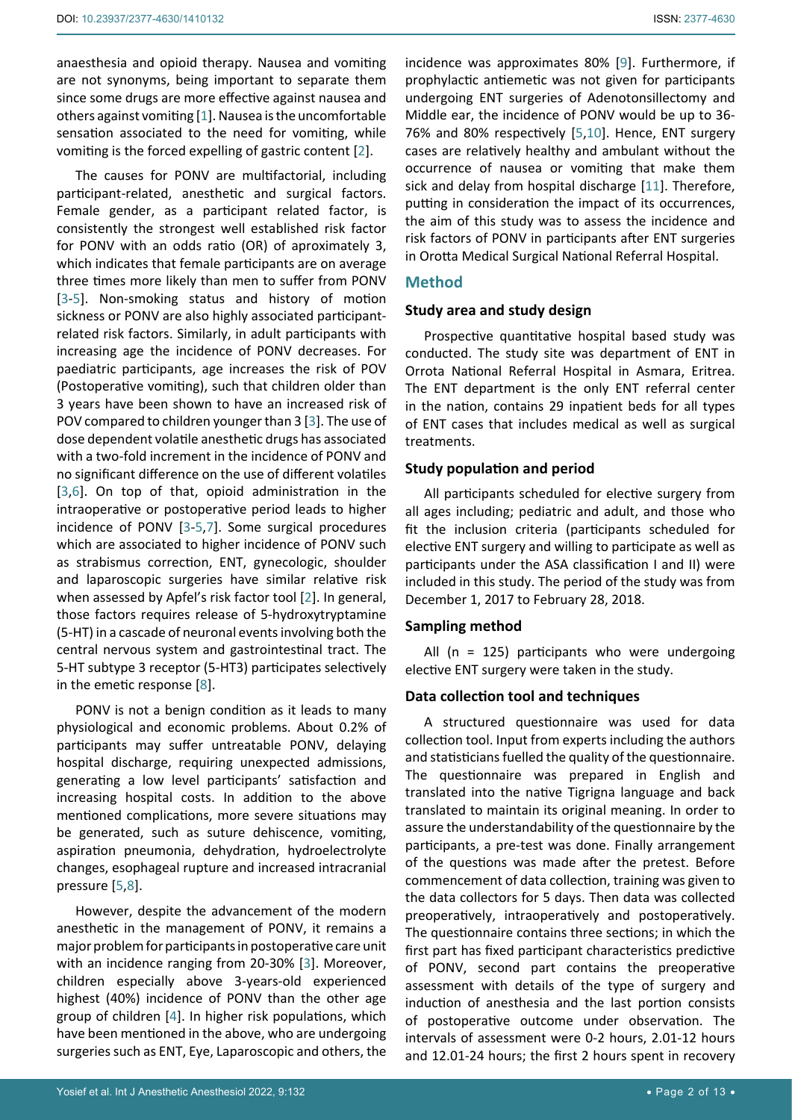anaesthesia and opioid therapy. Nausea and vomiting are not synonyms, being important to separate them since some drugs are more effective against nausea and others against vomiting [[1](#page-11-0)]. Nausea is the uncomfortable sensation associated to the need for vomiting, while vomiting is the forced expelling of gastric content [[2](#page-11-1)].

The causes for PONV are multifactorial, including participant-related, anesthetic and surgical factors. Female gender, as a participant related factor, is consistently the strongest well established risk factor for PONV with an odds ratio (OR) of aproximately 3, which indicates that female participants are on average three times more likely than men to suffer from PONV [[3](#page-11-2)-[5](#page-11-3)]. Non-smoking status and history of motion sickness or PONV are also highly associated participantrelated risk factors. Similarly, in adult participants with increasing age the incidence of PONV decreases. For paediatric participants, age increases the risk of POV (Postoperative vomiting), such that children older than 3 years have been shown to have an increased risk of POV compared to children younger than 3 [\[3\]](#page-11-2). The use of dose dependent volatile anesthetic drugs has associated with a two-fold increment in the incidence of PONV and no significant difference on the use of different volatiles [[3](#page-11-2),[6\]](#page-11-4). On top of that, opioid administration in the intraoperative or postoperative period leads to higher incidence of PONV [[3](#page-11-2)-[5](#page-11-3),[7\]](#page-11-5). Some surgical procedures which are associated to higher incidence of PONV such as strabismus correction, ENT, gynecologic, shoulder and laparoscopic surgeries have similar relative risk when assessed by Apfel's risk factor tool [[2](#page-11-1)]. In general, those factors requires release of 5-hydroxytryptamine (5-HT) in a cascade of neuronal events involving both the central nervous system and gastrointestinal tract. The 5-HT subtype 3 receptor (5-HT3) participates selectively in the emetic response [[8](#page-11-6)].

PONV is not a benign condition as it leads to many physiological and economic problems. About 0.2% of participants may suffer untreatable PONV, delaying hospital discharge, requiring unexpected admissions, generating a low level participants' satisfaction and increasing hospital costs. In addition to the above mentioned complications, more severe situations may be generated, such as suture dehiscence, vomiting, aspiration pneumonia, dehydration, hydroelectrolyte changes, esophageal rupture and increased intracranial pressure [[5](#page-11-3)[,8](#page-11-6)].

However, despite the advancement of the modern anesthetic in the management of PONV, it remains a major problem for participants in postoperative care unit with an incidence ranging from 20-30% [\[3\]](#page-11-2). Moreover, children especially above 3-years-old experienced highest (40%) incidence of PONV than the other age group of children [[4](#page-11-7)]. In higher risk populations, which have been mentioned in the above, who are undergoing surgeries such as ENT, Eye, Laparoscopic and others, the

incidence was approximates 80% [\[9\]](#page-11-8). Furthermore, if prophylactic antiemetic was not given for participants undergoing ENT surgeries of Adenotonsillectomy and Middle ear, the incidence of PONV would be up to 36- 76% and 80% respectively [[5](#page-11-3),[10](#page-11-9)]. Hence, ENT surgery cases are relatively healthy and ambulant without the occurrence of nausea or vomiting that make them sick and delay from hospital discharge [\[11](#page-11-10)]. Therefore, putting in consideration the impact of its occurrences, the aim of this study was to assess the incidence and risk factors of PONV in participants after ENT surgeries in Orotta Medical Surgical National Referral Hospital.

### **Method**

### **Study area and study design**

Prospective quantitative hospital based study was conducted. The study site was department of ENT in Orrota National Referral Hospital in Asmara, Eritrea. The ENT department is the only ENT referral center in the nation, contains 29 inpatient beds for all types of ENT cases that includes medical as well as surgical treatments.

### **Study population and period**

All participants scheduled for elective surgery from all ages including; pediatric and adult, and those who fit the inclusion criteria (participants scheduled for elective ENT surgery and willing to participate as well as participants under the ASA classification I and II) were included in this study. The period of the study was from December 1, 2017 to February 28, 2018.

### **Sampling method**

All  $(n = 125)$  participants who were undergoing elective ENT surgery were taken in the study.

### **Data collection tool and techniques**

A structured questionnaire was used for data collection tool. Input from experts including the authors and statisticians fuelled the quality of the questionnaire. The questionnaire was prepared in English and translated into the native Tigrigna language and back translated to maintain its original meaning. In order to assure the understandability of the questionnaire by the participants, a pre-test was done. Finally arrangement of the questions was made after the pretest. Before commencement of data collection, training was given to the data collectors for 5 days. Then data was collected preoperatively, intraoperatively and postoperatively. The questionnaire contains three sections; in which the first part has fixed participant characteristics predictive of PONV, second part contains the preoperative assessment with details of the type of surgery and induction of anesthesia and the last portion consists of postoperative outcome under observation. The intervals of assessment were 0-2 hours, 2.01-12 hours and 12.01-24 hours; the first 2 hours spent in recovery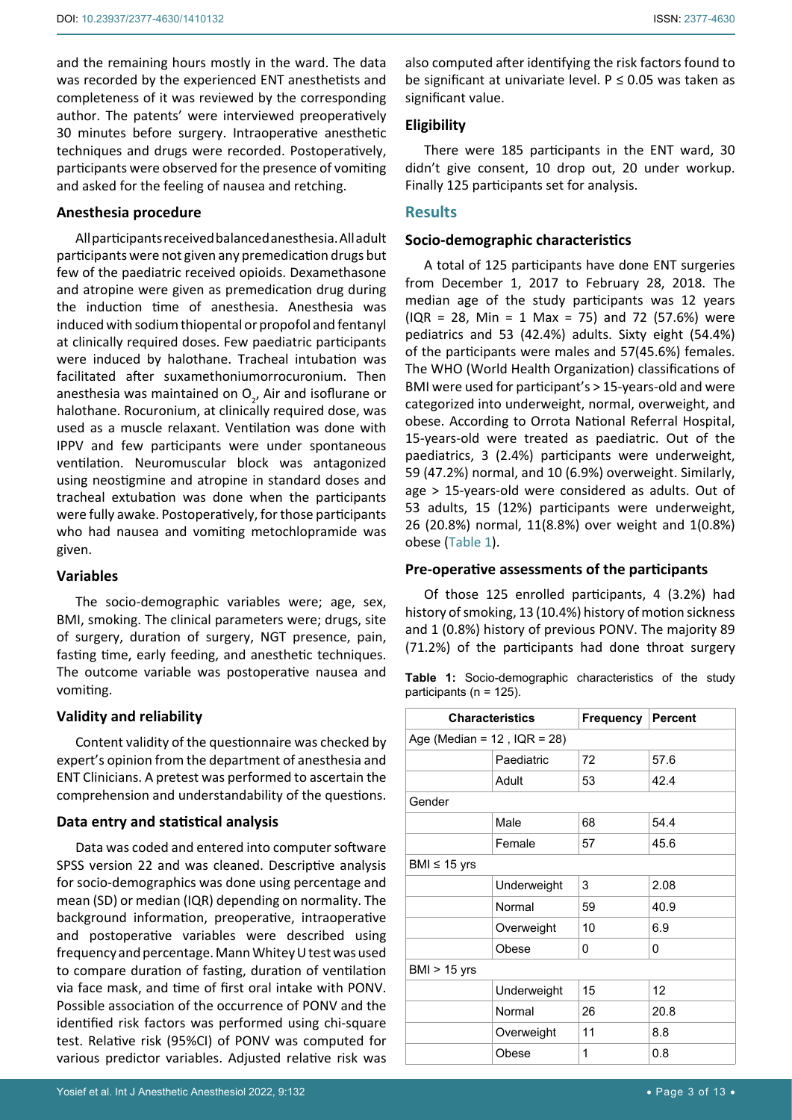and the remaining hours mostly in the ward. The data was recorded by the experienced ENT anesthetists and completeness of it was reviewed by the corresponding author. The patents' were interviewed preoperatively 30 minutes before surgery. Intraoperative anesthetic techniques and drugs were recorded. Postoperatively, participants were observed for the presence of vomiting and asked for the feeling of nausea and retching.

### **Anesthesia procedure**

All participants received balanced anesthesia. All adult participants were not given any premedication drugs but few of the paediatric received opioids. Dexamethasone and atropine were given as premedication drug during the induction time of anesthesia. Anesthesia was induced with sodium thiopental or propofol and fentanyl at clinically required doses. Few paediatric participants were induced by halothane. Tracheal intubation was facilitated after suxamethoniumorrocuronium. Then anesthesia was maintained on  $O_{2'}$  Air and isoflurane or halothane. Rocuronium, at clinically required dose, was used as a muscle relaxant. Ventilation was done with IPPV and few participants were under spontaneous ventilation. Neuromuscular block was antagonized using neostigmine and atropine in standard doses and tracheal extubation was done when the participants were fully awake. Postoperatively, for those participants who had nausea and vomiting metochlopramide was given.

## **Variables**

The socio-demographic variables were; age, sex, BMI, smoking. The clinical parameters were; drugs, site of surgery, duration of surgery, NGT presence, pain, fasting time, early feeding, and anesthetic techniques. The outcome variable was postoperative nausea and vomiting.

## **Validity and reliability**

Content validity of the questionnaire was checked by expert's opinion from the department of anesthesia and ENT Clinicians. A pretest was performed to ascertain the comprehension and understandability of the questions.

## **Data entry and statistical analysis**

Data was coded and entered into computer software SPSS version 22 and was cleaned. Descriptive analysis for socio-demographics was done using percentage and mean (SD) or median (IQR) depending on normality. The background information, preoperative, intraoperative and postoperative variables were described using frequency and percentage. Mann Whitey U test was used to compare duration of fasting, duration of ventilation via face mask, and time of first oral intake with PONV. Possible association of the occurrence of PONV and the identified risk factors was performed using chi-square test. Relative risk (95%CI) of PONV was computed for various predictor variables. Adjusted relative risk was

## **Eligibility**

There were 185 participants in the ENT ward, 30 didn't give consent, 10 drop out, 20 under workup. Finally 125 participants set for analysis.

## **Results**

## **Socio-demographic characteristics**

A total of 125 participants have done ENT surgeries from December 1, 2017 to February 28, 2018. The median age of the study participants was 12 years  $( IQR = 28, Min = 1 Max = 75)$  and 72 (57.6%) were pediatrics and 53 (42.4%) adults. Sixty eight (54.4%) of the participants were males and 57(45.6%) females. The WHO (World Health Organization) classifications of BMI were used for participant's > 15-years-old and were categorized into underweight, normal, overweight, and obese. According to Orrota National Referral Hospital, 15-years-old were treated as paediatric. Out of the paediatrics, 3 (2.4%) participants were underweight, 59 (47.2%) normal, and 10 (6.9%) overweight. Similarly, age > 15-years-old were considered as adults. Out of 53 adults, 15 (12%) participants were underweight, 26 (20.8%) normal, 11(8.8%) over weight and 1(0.8%) obese (Table 1).

## **Pre-operative assessments of the participants**

Of those 125 enrolled participants, 4 (3.2%) had history of smoking, 13 (10.4%) history of motion sickness and 1 (0.8%) history of previous PONV. The majority 89 (71.2%) of the participants had done throat surgery

**Table 1:** Socio-demographic characteristics of the study participants (n = 125).

| <b>Characteristics</b>            |             | <b>Frequency Percent</b> |      |  |  |
|-----------------------------------|-------------|--------------------------|------|--|--|
| Age (Median = $12$ , IQR = $28$ ) |             |                          |      |  |  |
|                                   | Paediatric  | 72                       | 57.6 |  |  |
|                                   | Adult       | 53                       | 42.4 |  |  |
| Gender                            |             |                          |      |  |  |
|                                   | Male        | 68                       | 54.4 |  |  |
|                                   | Female      | 57                       | 45.6 |  |  |
| BMI $\leq$ 15 yrs                 |             |                          |      |  |  |
|                                   | Underweight | 3                        | 2.08 |  |  |
|                                   | Normal      | 59                       | 40.9 |  |  |
|                                   | Overweight  | 10                       | 6.9  |  |  |
|                                   | Obese       | 0                        | 0    |  |  |
| BMI $> 15$ yrs                    |             |                          |      |  |  |
|                                   | Underweight | 15                       | 12   |  |  |
|                                   | Normal      | 26                       | 20.8 |  |  |
|                                   | Overweight  | 11                       | 8.8  |  |  |
|                                   | Obese       | 1                        | 0.8  |  |  |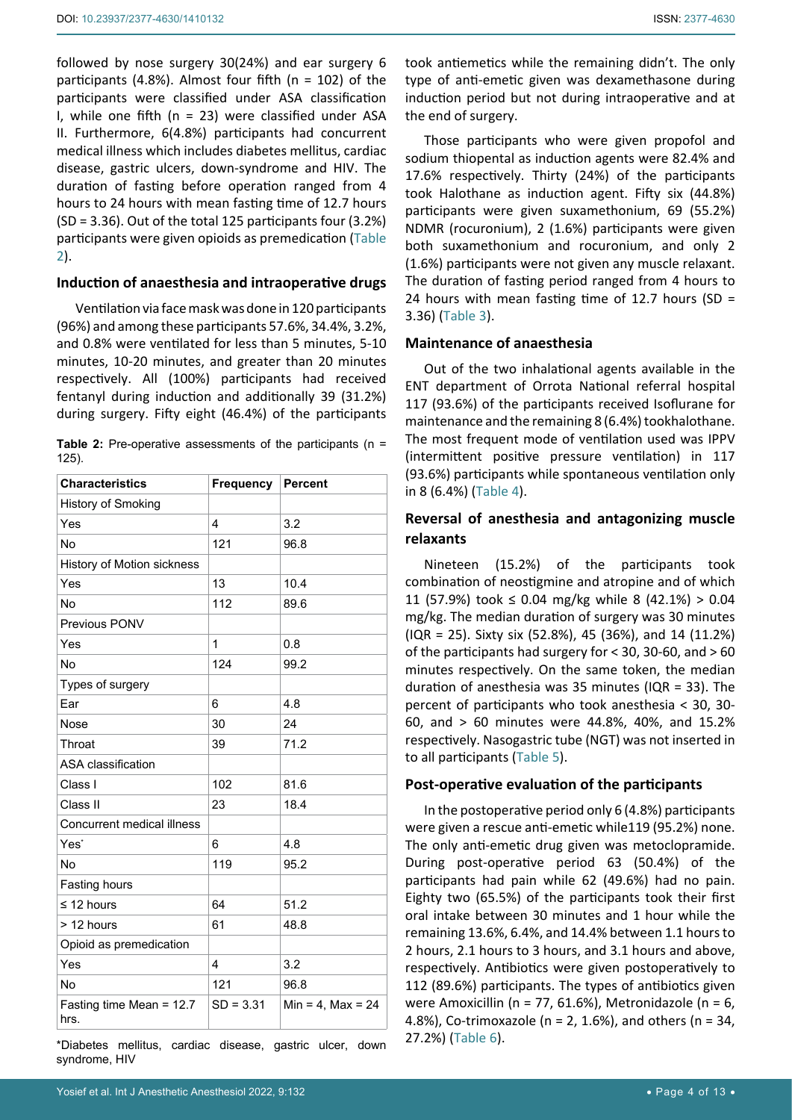followed by nose surgery 30(24%) and ear surgery 6 participants (4.8%). Almost four fifth (n = 102) of the participants were classified under ASA classification I, while one fifth ( $n = 23$ ) were classified under ASA II. Furthermore, 6(4.8%) participants had concurrent medical illness which includes diabetes mellitus, cardiac disease, gastric ulcers, down-syndrome and HIV. The duration of fasting before operation ranged from 4 hours to 24 hours with mean fasting time of 12.7 hours (SD = 3.36). Out of the total 125 participants four (3.2%) participants were given opioids as premedication (Table 2).

#### **Induction of anaesthesia and intraoperative drugs**

Ventilation via face mask was done in 120 participants (96%) and among these participants 57.6%, 34.4%, 3.2%, and 0.8% were ventilated for less than 5 minutes, 5-10 minutes, 10-20 minutes, and greater than 20 minutes respectively. All (100%) participants had received fentanyl during induction and additionally 39 (31.2%) during surgery. Fifty eight (46.4%) of the participants

|          | <b>Table 2:</b> Pre-operative assessments of the participants ( $n =$ |  |  |  |
|----------|-----------------------------------------------------------------------|--|--|--|
| $125$ ). |                                                                       |  |  |  |

| <b>Characteristics</b>             | Frequency   | Percent             |
|------------------------------------|-------------|---------------------|
| History of Smoking                 |             |                     |
| Yes                                | 4           | 3.2                 |
| No                                 | 121         | 96.8                |
| History of Motion sickness         |             |                     |
| Yes                                | 13          | 10.4                |
| <b>No</b>                          | 112         | 89.6                |
| Previous PONV                      |             |                     |
| Yes                                | 1           | 0.8                 |
| No                                 | 124         | 99.2                |
| Types of surgery                   |             |                     |
| Ear                                | 6           | 4.8                 |
| Nose                               | 30          | 24                  |
| Throat                             | 39          | 71.2                |
| <b>ASA</b> classification          |             |                     |
| Class I                            | 102         | 81.6                |
| Class II                           | 23          | 18.4                |
| Concurrent medical illness         |             |                     |
| Yes'                               | 6           | 4.8                 |
| No                                 | 119         | 95.2                |
| Fasting hours                      |             |                     |
| $\leq$ 12 hours                    | 64          | 51.2                |
| > 12 hours                         | 61          | 48.8                |
| Opioid as premedication            |             |                     |
| Yes                                | 4           | 3.2                 |
| No                                 | 121         | 96.8                |
| Fasting time Mean = $12.7$<br>hrs. | $SD = 3.31$ | Min = 4, Max = $24$ |

\*Diabetes mellitus, cardiac disease, gastric ulcer, down syndrome, HIV

Those participants who were given propofol and sodium thiopental as induction agents were 82.4% and 17.6% respectively. Thirty (24%) of the participants took Halothane as induction agent. Fifty six (44.8%) participants were given suxamethonium, 69 (55.2%) NDMR (rocuronium), 2 (1.6%) participants were given both suxamethonium and rocuronium, and only 2 (1.6%) participants were not given any muscle relaxant. The duration of fasting period ranged from 4 hours to 24 hours with mean fasting time of 12.7 hours (SD = 3.36) (Table 3).

## **Maintenance of anaesthesia**

Out of the two inhalational agents available in the ENT department of Orrota National referral hospital 117 (93.6%) of the participants received Isoflurane for maintenance and the remaining 8 (6.4%) tookhalothane. The most frequent mode of ventilation used was IPPV (intermittent positive pressure ventilation) in 117 (93.6%) participants while spontaneous ventilation only in 8 (6.4%) (Table 4).

## **Reversal of anesthesia and antagonizing muscle relaxants**

Nineteen (15.2%) of the participants took combination of neostigmine and atropine and of which 11 (57.9%) took ≤ 0.04 mg/kg while 8 (42.1%) > 0.04 mg/kg. The median duration of surgery was 30 minutes (IQR = 25). Sixty six (52.8%), 45 (36%), and 14 (11.2%) of the participants had surgery for < 30, 30-60, and > 60 minutes respectively. On the same token, the median duration of anesthesia was 35 minutes (IQR = 33). The percent of participants who took anesthesia < 30, 30- 60, and > 60 minutes were 44.8%, 40%, and 15.2% respectively. Nasogastric tube (NGT) was not inserted in to all participants (Table 5).

### **Post-operative evaluation of the participants**

In the postoperative period only 6 (4.8%) participants were given a rescue anti-emetic while119 (95.2%) none. The only anti-emetic drug given was metoclopramide. During post-operative period 63 (50.4%) of the participants had pain while 62 (49.6%) had no pain. Eighty two (65.5%) of the participants took their first oral intake between 30 minutes and 1 hour while the remaining 13.6%, 6.4%, and 14.4% between 1.1 hours to 2 hours, 2.1 hours to 3 hours, and 3.1 hours and above, respectively. Antibiotics were given postoperatively to 112 (89.6%) participants. The types of antibiotics given were Amoxicillin (n = 77, 61.6%), Metronidazole (n = 6, 4.8%), Co-trimoxazole ( $n = 2$ , 1.6%), and others ( $n = 34$ , 27.2%) (Table 6).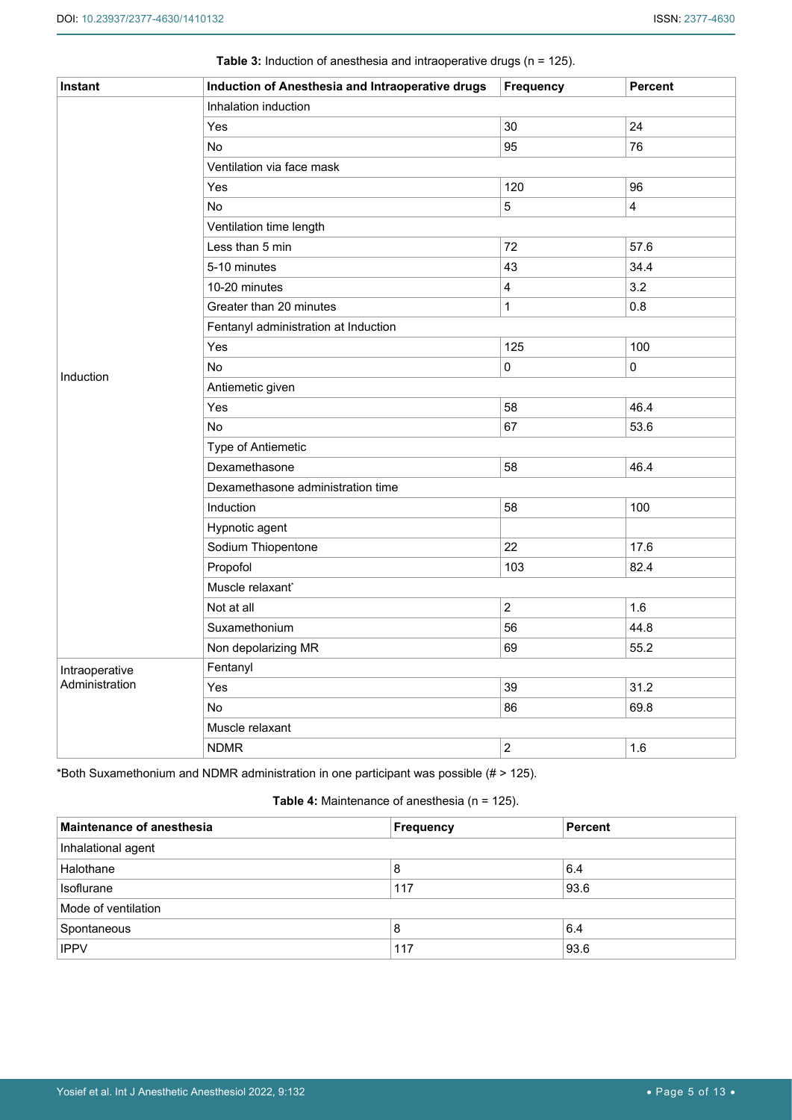| Instant        | Induction of Anesthesia and Intraoperative drugs | Frequency      | Percent                 |  |  |  |  |
|----------------|--------------------------------------------------|----------------|-------------------------|--|--|--|--|
|                | Inhalation induction                             |                |                         |  |  |  |  |
|                | Yes                                              | 30             | 24                      |  |  |  |  |
|                | No                                               | 95             | 76                      |  |  |  |  |
|                | Ventilation via face mask                        |                |                         |  |  |  |  |
|                | Yes                                              | 120            | 96                      |  |  |  |  |
|                | No                                               | $\overline{5}$ | $\overline{\mathbf{4}}$ |  |  |  |  |
|                | Ventilation time length                          |                |                         |  |  |  |  |
|                | Less than 5 min                                  | 72             | 57.6                    |  |  |  |  |
|                | 5-10 minutes                                     | 43             | 34.4                    |  |  |  |  |
|                | 10-20 minutes                                    | $\overline{4}$ | 3.2                     |  |  |  |  |
|                | Greater than 20 minutes                          | $\mathbf{1}$   | 0.8                     |  |  |  |  |
|                | Fentanyl administration at Induction             |                |                         |  |  |  |  |
|                | Yes                                              | 125            | 100                     |  |  |  |  |
|                | No                                               | $\mathbf 0$    | $\pmb{0}$               |  |  |  |  |
| Induction      | Antiemetic given                                 |                |                         |  |  |  |  |
|                | Yes                                              | 58             | 46.4                    |  |  |  |  |
|                | No                                               | 67             | 53.6                    |  |  |  |  |
|                | Type of Antiemetic                               |                |                         |  |  |  |  |
|                | Dexamethasone                                    | 58             | 46.4                    |  |  |  |  |
|                | Dexamethasone administration time                |                |                         |  |  |  |  |
|                | Induction                                        | 58             | 100                     |  |  |  |  |
|                | Hypnotic agent                                   |                |                         |  |  |  |  |
|                | Sodium Thiopentone                               | 22             | 17.6                    |  |  |  |  |
|                | Propofol                                         | 103            | 82.4                    |  |  |  |  |
|                | Muscle relaxant*                                 |                |                         |  |  |  |  |
|                | Not at all                                       | $\overline{2}$ | 1.6                     |  |  |  |  |
|                | Suxamethonium                                    | 56             | 44.8                    |  |  |  |  |
|                | Non depolarizing MR                              | 69             | 55.2                    |  |  |  |  |
| Intraoperative | Fentanyl                                         |                |                         |  |  |  |  |
| Administration | Yes                                              | 39             | 31.2                    |  |  |  |  |
|                | No                                               | 86             | 69.8                    |  |  |  |  |
|                | Muscle relaxant                                  |                |                         |  |  |  |  |
|                | <b>NDMR</b>                                      | $\overline{2}$ | 1.6                     |  |  |  |  |

**Table 3:** Induction of anesthesia and intraoperative drugs (n = 125).

\*Both Suxamethonium and NDMR administration in one participant was possible (# ˃ 125).

## **Table 4:** Maintenance of anesthesia (n = 125).

| <b>Maintenance of anesthesia</b> | Frequency | <b>Percent</b> |  |  |  |
|----------------------------------|-----------|----------------|--|--|--|
| Inhalational agent               |           |                |  |  |  |
| Halothane                        | 8         | 6.4            |  |  |  |
| <b>Isoflurane</b>                | 117       | 93.6           |  |  |  |
| Mode of ventilation              |           |                |  |  |  |
| Spontaneous                      | 8         | 6.4            |  |  |  |
| <b>IPPV</b>                      | 117       | 93.6           |  |  |  |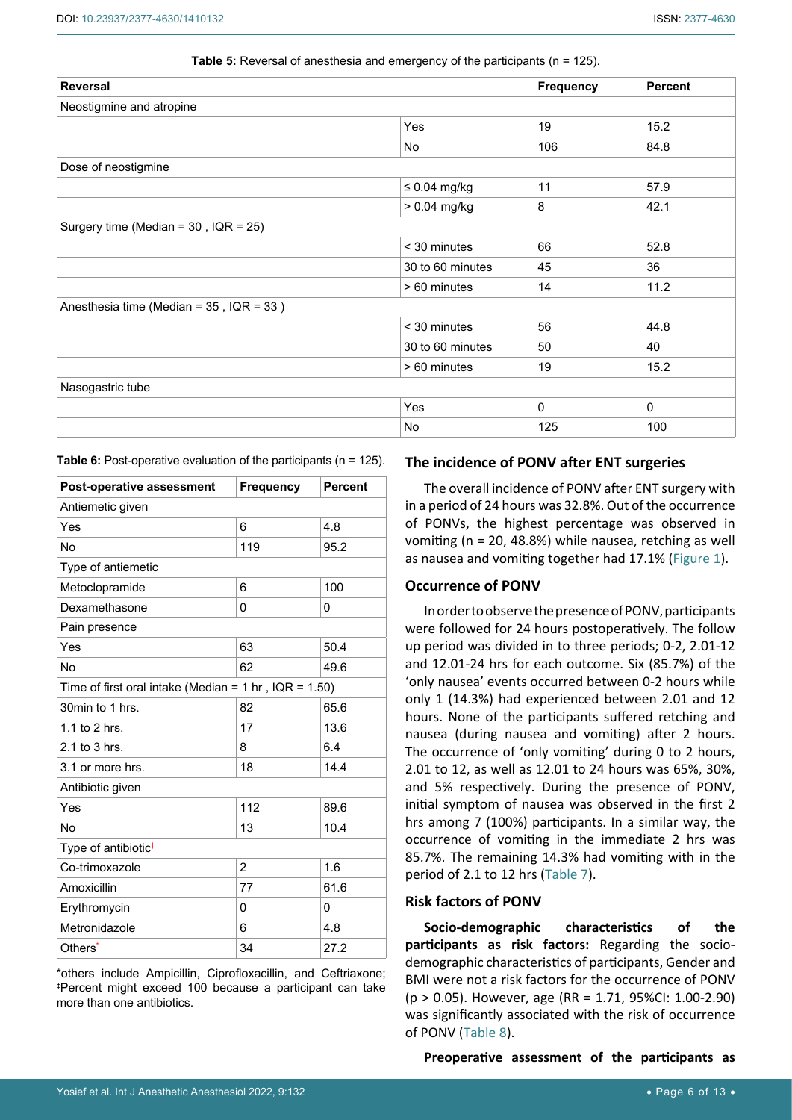| <b>Reversal</b>                               |                   | <b>Frequency</b> | <b>Percent</b> |
|-----------------------------------------------|-------------------|------------------|----------------|
| Neostigmine and atropine                      |                   |                  |                |
|                                               | Yes               | 19               | 15.2           |
|                                               | No                | 106              | 84.8           |
| Dose of neostigmine                           |                   |                  |                |
|                                               | $\leq 0.04$ mg/kg | 11               | 57.9           |
|                                               | $> 0.04$ mg/kg    | 8                | 42.1           |
| Surgery time (Median = $30$ , IQR = $25$ )    |                   |                  |                |
|                                               | $<$ 30 minutes    | 66               | 52.8           |
|                                               | 30 to 60 minutes  | 45               | 36             |
|                                               | > 60 minutes      | 14               | 11.2           |
| Anesthesia time (Median = $35$ , IQR = $33$ ) |                   |                  |                |
|                                               | < 30 minutes      | 56               | 44.8           |
|                                               | 30 to 60 minutes  | 50               | 40             |
|                                               | > 60 minutes      | 19               | 15.2           |
| Nasogastric tube                              |                   |                  |                |
|                                               | Yes               | $\mathbf 0$      | $\mathbf 0$    |
|                                               | No                | 125              | 100            |

**Table 5:** Reversal of anesthesia and emergency of the participants (n = 125).

**Table 6:** Post-operative evaluation of the participants (n = 125).

| Post-operative assessment                                           | <b>Frequency</b> | <b>Percent</b> |  |  |  |  |
|---------------------------------------------------------------------|------------------|----------------|--|--|--|--|
| Antiemetic given                                                    |                  |                |  |  |  |  |
| Yes                                                                 | 6                | 4.8            |  |  |  |  |
| <b>No</b>                                                           | 119              | 95.2           |  |  |  |  |
| Type of antiemetic                                                  |                  |                |  |  |  |  |
| Metoclopramide                                                      | 6                | 100            |  |  |  |  |
| Dexamethasone                                                       | 0                | $\Omega$       |  |  |  |  |
| Pain presence                                                       |                  |                |  |  |  |  |
| Yes                                                                 | 63               | 50.4           |  |  |  |  |
| No                                                                  | 62               | 49.6           |  |  |  |  |
| Time of first oral intake (Median = $1 \text{ hr}$ , IQR = $1.50$ ) |                  |                |  |  |  |  |
| 30min to 1 hrs.                                                     | 82               | 65.6           |  |  |  |  |
| 1.1 to 2 hrs.                                                       | 17               | 13.6           |  |  |  |  |
| $2.1$ to $3$ hrs.                                                   | 8                | 6.4            |  |  |  |  |
| 3.1 or more hrs.                                                    | 18               | 14.4           |  |  |  |  |
| Antibiotic given                                                    |                  |                |  |  |  |  |
| Yes                                                                 | 112              | 89.6           |  |  |  |  |
| No                                                                  | 13               | 10.4           |  |  |  |  |
| Type of antibiotic#                                                 |                  |                |  |  |  |  |
| Co-trimoxazole                                                      | 2                | 1.6            |  |  |  |  |
| Amoxicillin                                                         | 77               | 61.6           |  |  |  |  |
| Erythromycin                                                        | 0                | $\Omega$       |  |  |  |  |
| Metronidazole                                                       | 6                | 4.8            |  |  |  |  |
| Others <sup>*</sup>                                                 | 34               | 27.2           |  |  |  |  |

\*others include Ampicillin, Ciprofloxacillin, and Ceftriaxone; ‡ Percent might exceed 100 because a participant can take more than one antibiotics.

### **The incidence of PONV after ENT surgeries**

The overall incidence of PONV after ENT surgery with in a period of 24 hours was 32.8%. Out of the occurrence of PONVs, the highest percentage was observed in vomiting (n = 20, 48.8%) while nausea, retching as well as nausea and vomiting together had 17.1% ([Figure 1\)](#page-6-0).

### **Occurrence of PONV**

In order to observe the presence of PONV, participants were followed for 24 hours postoperatively. The follow up period was divided in to three periods; 0-2, 2.01-12 and 12.01-24 hrs for each outcome. Six (85.7%) of the 'only nausea' events occurred between 0-2 hours while only 1 (14.3%) had experienced between 2.01 and 12 hours. None of the participants suffered retching and nausea (during nausea and vomiting) after 2 hours. The occurrence of 'only vomiting' during 0 to 2 hours, 2.01 to 12, as well as 12.01 to 24 hours was 65%, 30%, and 5% respectively. During the presence of PONV, initial symptom of nausea was observed in the first 2 hrs among 7 (100%) participants. In a similar way, the occurrence of vomiting in the immediate 2 hrs was 85.7%. The remaining 14.3% had vomiting with in the period of 2.1 to 12 hrs (Table 7).

## **Risk factors of PONV**

**Socio-demographic characteristics of the participants as risk factors:** Regarding the sociodemographic characteristics of participants, Gender and BMI were not a risk factors for the occurrence of PONV (p > 0.05). However, age (RR = 1.71, 95%CI: 1.00-2.90) was significantly associated with the risk of occurrence of PONV (Table 8).

**Preoperative assessment of the participants as**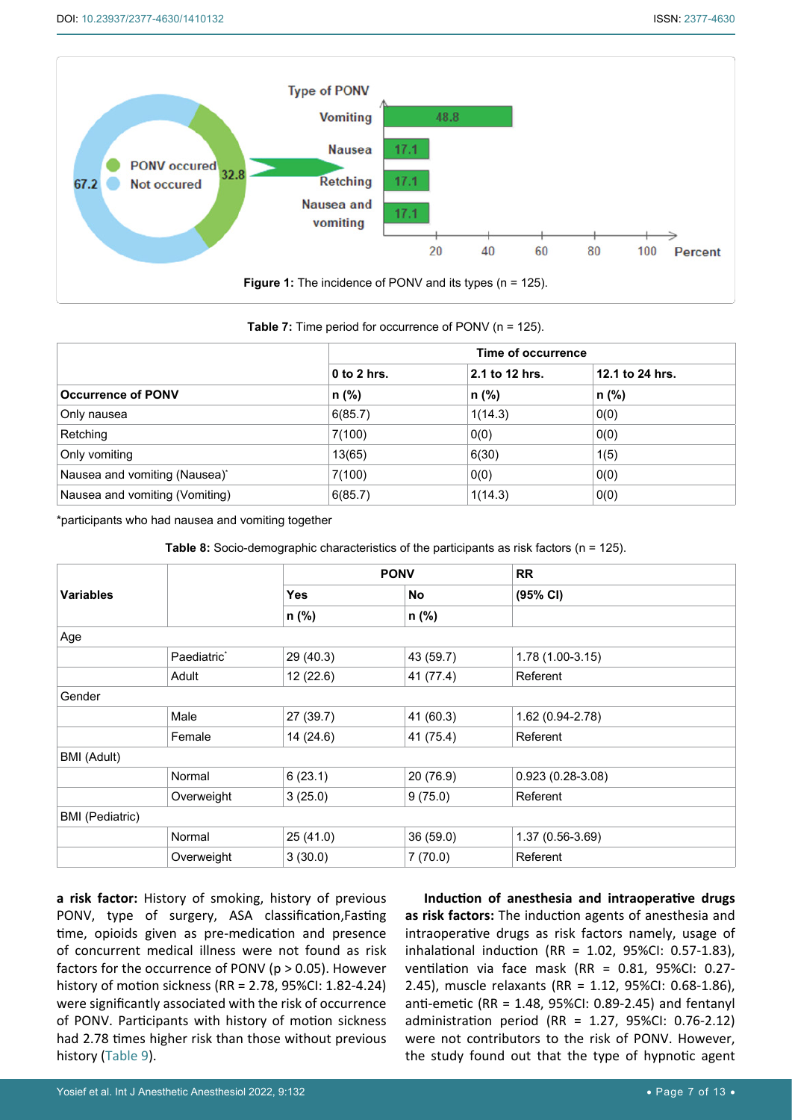<span id="page-6-0"></span>

**Table 7:** Time period for occurrence of PONV (n = 125).

|                                | Time of occurrence |                |                 |  |  |
|--------------------------------|--------------------|----------------|-----------------|--|--|
|                                | $0$ to $2$ hrs.    | 2.1 to 12 hrs. | 12.1 to 24 hrs. |  |  |
| <b>Occurrence of PONV</b>      | $n$ (%)            | $n$ (%)        | n (%)           |  |  |
| Only nausea                    | 6(85.7)            | 1(14.3)        | 0(0)            |  |  |
| Retching                       | 7(100)             | 0(0)           | 0(0)            |  |  |
| Only vomiting                  | 13(65)             | 6(30)          | 1(5)            |  |  |
| Nausea and vomiting (Nausea)*  | 7(100)             | 0(0)           | 0(0)            |  |  |
| Nausea and vomiting (Vomiting) | 6(85.7)            | 1(14.3)        | 0(0)            |  |  |

\*participants who had nausea and vomiting together

**Table 8:** Socio-demographic characteristics of the participants as risk factors (n = 125).

|                        |                         | <b>PONV</b> |           | <b>RR</b>          |
|------------------------|-------------------------|-------------|-----------|--------------------|
| <b>Variables</b>       |                         | <b>Yes</b>  | No        | (95% CI)           |
|                        |                         | n (%)       | n (%)     |                    |
| Age                    |                         |             |           |                    |
|                        | Paediatric <sup>*</sup> | 29 (40.3)   | 43 (59.7) | $1.78(1.00-3.15)$  |
|                        | Adult                   | 12 (22.6)   | 41 (77.4) | Referent           |
| Gender                 |                         |             |           |                    |
|                        | Male                    | 27 (39.7)   | 41 (60.3) | 1.62 (0.94-2.78)   |
|                        | Female                  | 14 (24.6)   | 41 (75.4) | Referent           |
| <b>BMI</b> (Adult)     |                         |             |           |                    |
|                        | Normal                  | 6(23.1)     | 20 (76.9) | $0.923(0.28-3.08)$ |
|                        | Overweight              | 3(25.0)     | 9(75.0)   | Referent           |
| <b>BMI</b> (Pediatric) |                         |             |           |                    |
|                        | Normal                  | 25(41.0)    | 36 (59.0) | $1.37(0.56-3.69)$  |
|                        | Overweight              | 3(30.0)     | 7(70.0)   | Referent           |

**a risk factor:** History of smoking, history of previous PONV, type of surgery, ASA classification,Fasting time, opioids given as pre-medication and presence of concurrent medical illness were not found as risk factors for the occurrence of PONV (p > 0.05). However history of motion sickness (RR = 2.78, 95%CI: 1.82-4.24) were significantly associated with the risk of occurrence of PONV. Participants with history of motion sickness had 2.78 times higher risk than those without previous history (Table 9).

**Induction of anesthesia and intraoperative drugs as risk factors:** The induction agents of anesthesia and intraoperative drugs as risk factors namely, usage of inhalational induction (RR = 1.02, 95%CI: 0.57-1.83), ventilation via face mask (RR = 0.81, 95%CI: 0.27- 2.45), muscle relaxants (RR = 1.12, 95%CI: 0.68-1.86), anti-emetic (RR = 1.48, 95%CI: 0.89-2.45) and fentanyl administration period (RR = 1.27, 95%CI: 0.76-2.12) were not contributors to the risk of PONV. However, the study found out that the type of hypnotic agent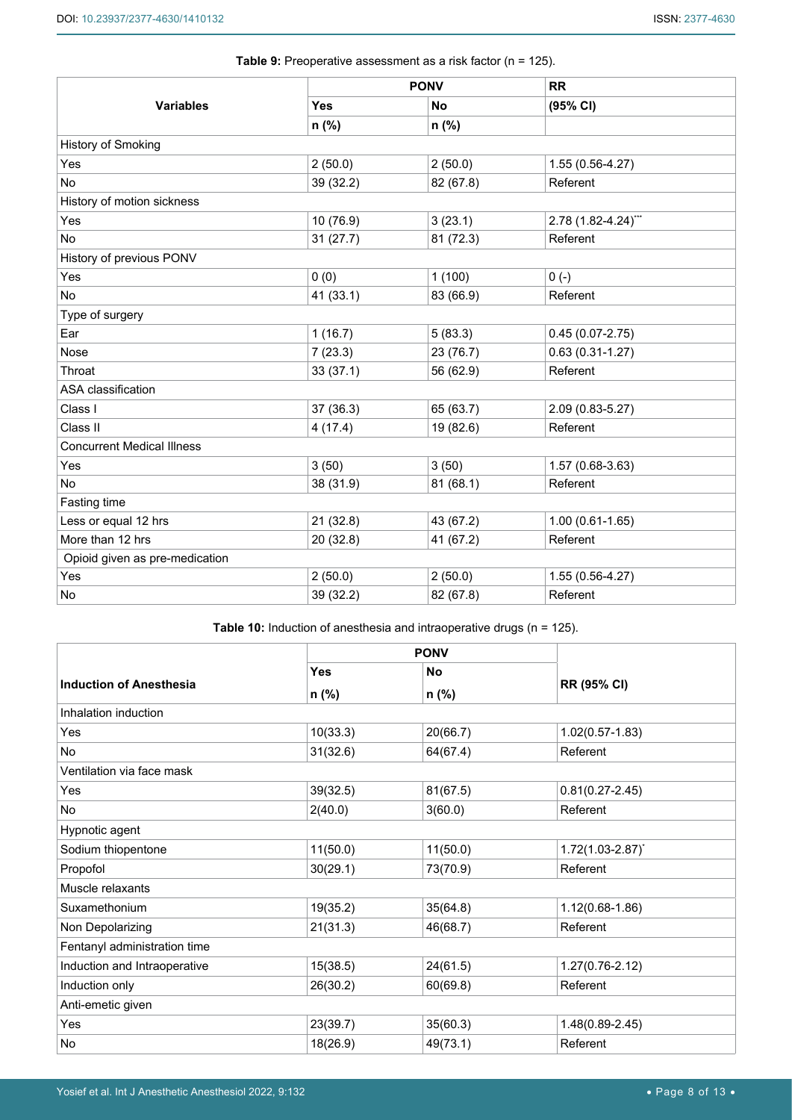|                                   |            | <b>PONV</b> | <b>RR</b>           |
|-----------------------------------|------------|-------------|---------------------|
| <b>Variables</b>                  | <b>Yes</b> | No          | (95% CI)            |
|                                   | n (%)      | n (%)       |                     |
| History of Smoking                |            |             |                     |
| Yes                               | 2(50.0)    | 2(50.0)     | 1.55 (0.56-4.27)    |
| No                                | 39 (32.2)  | 82 (67.8)   | Referent            |
| History of motion sickness        |            |             |                     |
| Yes                               | 10 (76.9)  | 3(23.1)     | 2.78 (1.82-4.24)*** |
| <b>No</b>                         | 31(27.7)   | 81 (72.3)   | Referent            |
| History of previous PONV          |            |             |                     |
| Yes                               | 0(0)       | 1(100)      | $0(-)$              |
| No                                | 41 (33.1)  | 83 (66.9)   | Referent            |
| Type of surgery                   |            |             |                     |
| Ear                               | 1(16.7)    | 5(83.3)     | $0.45(0.07 - 2.75)$ |
| Nose                              | 7(23.3)    | 23 (76.7)   | $0.63(0.31 - 1.27)$ |
| Throat                            | 33(37.1)   | 56 (62.9)   | Referent            |
| ASA classification                |            |             |                     |
| Class I                           | 37 (36.3)  | 65 (63.7)   | 2.09 (0.83-5.27)    |
| Class II                          | 4(17.4)    | 19 (82.6)   | Referent            |
| <b>Concurrent Medical Illness</b> |            |             |                     |
| Yes                               | 3(50)      | 3(50)       | 1.57 (0.68-3.63)    |
| No                                | 38 (31.9)  | 81(68.1)    | Referent            |
| Fasting time                      |            |             |                     |
| Less or equal 12 hrs              | 21 (32.8)  | 43 (67.2)   | $1.00(0.61 - 1.65)$ |
| More than 12 hrs                  | 20 (32.8)  | 41 (67.2)   | Referent            |
| Opioid given as pre-medication    |            |             |                     |
| Yes                               | 2(50.0)    | 2(50.0)     | 1.55 (0.56-4.27)    |
| No                                | 39 (32.2)  | 82 (67.8)   | Referent            |

**Table 9:** Preoperative assessment as a risk factor (n = 125).

<span id="page-7-0"></span>**Table 10:** Induction of anesthesia and intraoperative drugs (n = 125).

|                                |            | <b>PONV</b> |                         |
|--------------------------------|------------|-------------|-------------------------|
|                                | <b>Yes</b> | <b>No</b>   |                         |
| <b>Induction of Anesthesia</b> | n (%)      | n (%)       | <b>RR (95% CI)</b>      |
| Inhalation induction           |            |             |                         |
| Yes                            | 10(33.3)   | 20(66.7)    | $1.02(0.57 - 1.83)$     |
| <b>No</b>                      | 31(32.6)   | 64(67.4)    | Referent                |
| Ventilation via face mask      |            |             |                         |
| Yes                            | 39(32.5)   | 81(67.5)    | $0.81(0.27 - 2.45)$     |
| <b>No</b>                      | 2(40.0)    | 3(60.0)     | Referent                |
| Hypnotic agent                 |            |             |                         |
| Sodium thiopentone             | 11(50.0)   | 11(50.0)    | $1.72(1.03 - 2.87)^{*}$ |
| Propofol                       | 30(29.1)   | 73(70.9)    | Referent                |
| Muscle relaxants               |            |             |                         |
| Suxamethonium                  | 19(35.2)   | 35(64.8)    | 1.12(0.68-1.86)         |
| Non Depolarizing               | 21(31.3)   | 46(68.7)    | Referent                |
| Fentanyl administration time   |            |             |                         |
| Induction and Intraoperative   | 15(38.5)   | 24(61.5)    | $1.27(0.76-2.12)$       |
| Induction only                 | 26(30.2)   | 60(69.8)    | Referent                |
| Anti-emetic given              |            |             |                         |
| Yes                            | 23(39.7)   | 35(60.3)    | 1.48(0.89-2.45)         |
| No                             | 18(26.9)   | 49(73.1)    | Referent                |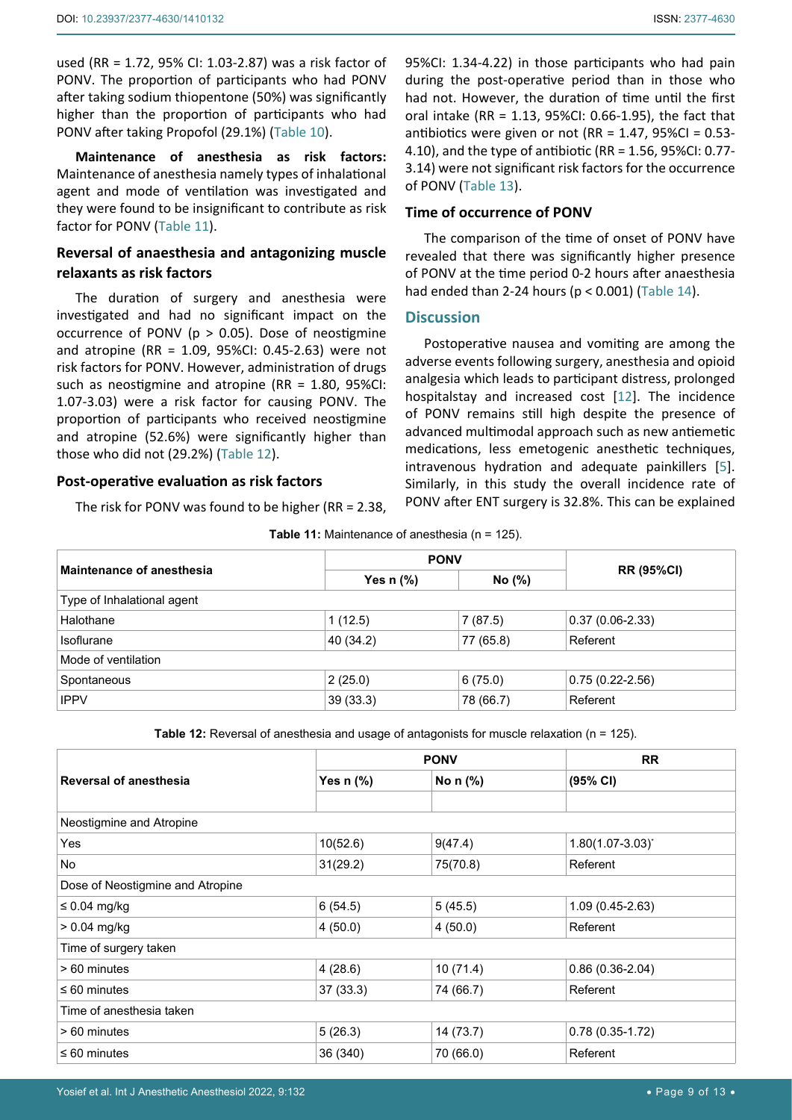used (RR = 1.72, 95% CI: 1.03-2.87) was a risk factor of PONV. The proportion of participants who had PONV after taking sodium thiopentone (50%) was significantly higher than the proportion of participants who had PONV after taking Propofol (29.1%) ([Table 10](#page-7-0)).

**Maintenance of anesthesia as risk factors:**  Maintenance of anesthesia namely types of inhalational agent and mode of ventilation was investigated and they were found to be insignificant to contribute as risk factor for PONV (Table 11).

## **Reversal of anaesthesia and antagonizing muscle relaxants as risk factors**

The duration of surgery and anesthesia were investigated and had no significant impact on the occurrence of PONV ( $p > 0.05$ ). Dose of neostigmine and atropine (RR = 1.09, 95%CI: 0.45-2.63) were not risk factors for PONV. However, administration of drugs such as neostigmine and atropine (RR = 1.80, 95%CI: 1.07-3.03) were a risk factor for causing PONV. The proportion of participants who received neostigmine and atropine (52.6%) were significantly higher than those who did not (29.2%) (Table 12).

## **Post-operative evaluation as risk factors**

The risk for PONV was found to be higher (RR = 2.38,

95%CI: 1.34-4.22) in those participants who had pain during the post-operative period than in those who had not. However, the duration of time until the first oral intake (RR = 1.13, 95%CI: 0.66-1.95), the fact that antibiotics were given or not (RR =  $1.47$ , 95%CI = 0.53-4.10), and the type of antibiotic (RR = 1.56, 95%CI: 0.77- 3.14) were not significant risk factors for the occurrence of PONV (Table 13).

## **Time of occurrence of PONV**

The comparison of the time of onset of PONV have revealed that there was significantly higher presence of PONV at the time period 0-2 hours after anaesthesia had ended than 2-24 hours ( $p < 0.001$ ) (Table 14).

## **Discussion**

Postoperative nausea and vomiting are among the adverse events following surgery, anesthesia and opioid analgesia which leads to participant distress, prolonged hospitalstay and increased cost [\[12](#page-12-0)]. The incidence of PONV remains still high despite the presence of advanced multimodal approach such as new antiemetic medications, less emetogenic anesthetic techniques, intravenous hydration and adequate painkillers [[5](#page-11-3)]. Similarly, in this study the overall incidence rate of PONV after ENT surgery is 32.8%. This can be explained

|  |  | Table 11: Maintenance of anesthesia (n = 125). |  |  |  |
|--|--|------------------------------------------------|--|--|--|
|--|--|------------------------------------------------|--|--|--|

| Maintenance of anesthesia  | <b>PONV</b> |           |                     |  |  |  |  |
|----------------------------|-------------|-----------|---------------------|--|--|--|--|
|                            | Yes $n$ $%$ | No (%)    | <b>RR (95%CI)</b>   |  |  |  |  |
| Type of Inhalational agent |             |           |                     |  |  |  |  |
| Halothane                  | 1(12.5)     | 7(87.5)   | $0.37(0.06-2.33)$   |  |  |  |  |
| Isoflurane                 | 40 (34.2)   | 77 (65.8) | Referent            |  |  |  |  |
| Mode of ventilation        |             |           |                     |  |  |  |  |
| Spontaneous                | 2(25.0)     | 6(75.0)   | $0.75(0.22 - 2.56)$ |  |  |  |  |
| <b>IPPV</b>                | 39(33.3)    | 78 (66.7) | Referent            |  |  |  |  |

**Table 12:** Reversal of anesthesia and usage of antagonists for muscle relaxation (n = 125).

| <b>Reversal of anesthesia</b>    |           | <b>PONV</b>                       | <b>RR</b>               |  |  |  |
|----------------------------------|-----------|-----------------------------------|-------------------------|--|--|--|
|                                  | Yes n (%) | No $n$ $\left(\frac{9}{6}\right)$ | (95% CI)                |  |  |  |
|                                  |           |                                   |                         |  |  |  |
| Neostigmine and Atropine         |           |                                   |                         |  |  |  |
| Yes                              | 10(52.6)  | 9(47.4)                           | $1.80(1.07 - 3.03)^{*}$ |  |  |  |
| No                               | 31(29.2)  | 75(70.8)                          | Referent                |  |  |  |
| Dose of Neostigmine and Atropine |           |                                   |                         |  |  |  |
| $\leq 0.04$ mg/kg                | 6(54.5)   | 5(45.5)                           | $1.09(0.45-2.63)$       |  |  |  |
| $> 0.04$ mg/kg                   | 4(50.0)   | 4(50.0)                           | Referent                |  |  |  |
| Time of surgery taken            |           |                                   |                         |  |  |  |
| > 60 minutes                     | 4(28.6)   | 10(71.4)                          | $0.86(0.36-2.04)$       |  |  |  |
| $\leq 60$ minutes                | 37(33.3)  | 74 (66.7)                         | Referent                |  |  |  |
| Time of anesthesia taken         |           |                                   |                         |  |  |  |
| > 60 minutes                     | 5(26.3)   | 14(73.7)                          | $0.78(0.35-1.72)$       |  |  |  |
| $\leq 60$ minutes                | 36 (340)  | 70 (66.0)                         | Referent                |  |  |  |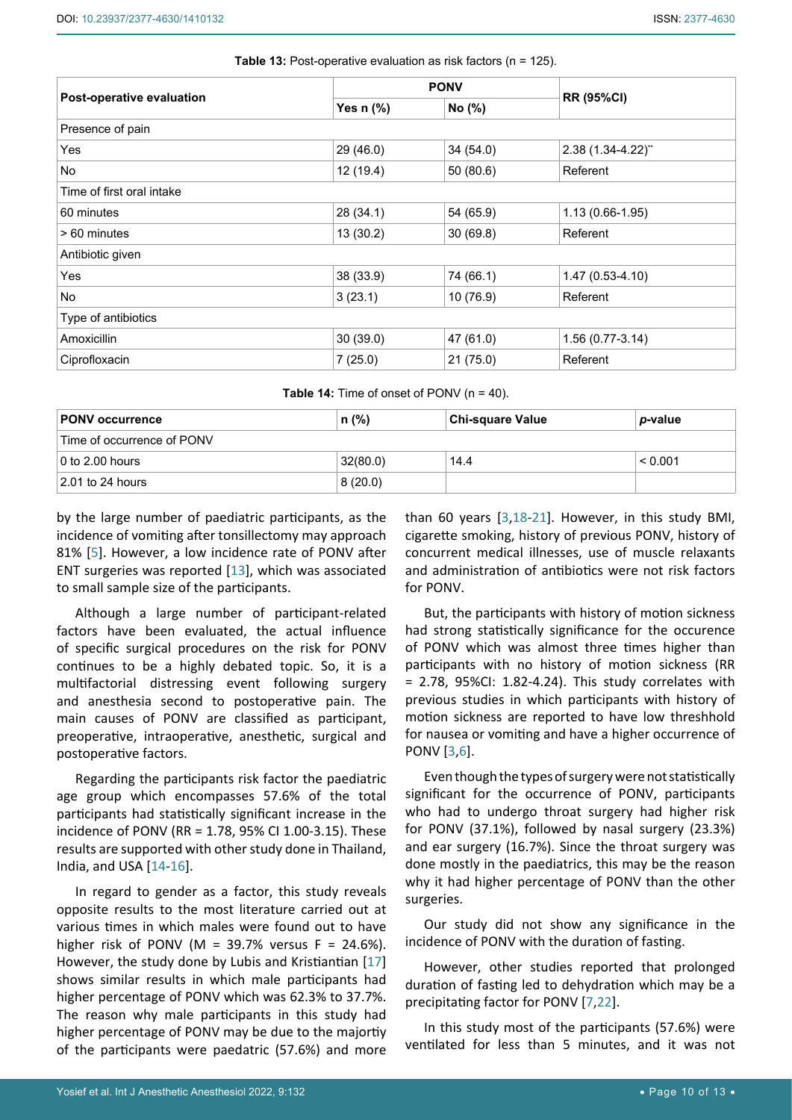| Post-operative evaluation | <b>PONV</b> |           |                     |
|---------------------------|-------------|-----------|---------------------|
|                           | Yes $n$ (%) | No (%)    | <b>RR (95%CI)</b>   |
| Presence of pain          |             |           |                     |
| Yes                       | 29 (46.0)   | 34(54.0)  | 2.38 (1.34-4.22)**  |
| No                        | 12 (19.4)   | 50(80.6)  | Referent            |
| Time of first oral intake |             |           |                     |
| 60 minutes                | 28 (34.1)   | 54 (65.9) | $1.13(0.66 - 1.95)$ |
| > 60 minutes              | 13(30.2)    | 30(69.8)  | Referent            |
| Antibiotic given          |             |           |                     |
| Yes                       | 38 (33.9)   | 74 (66.1) | $1.47(0.53 - 4.10)$ |
| No                        | 3(23.1)     | 10(76.9)  | Referent            |
| Type of antibiotics       |             |           |                     |
| Amoxicillin               | 30(39.0)    | 47 (61.0) | $1.56(0.77-3.14)$   |
| Ciprofloxacin             | 7(25.0)     | 21(75.0)  | Referent            |

**Table 13:** Post-operative evaluation as risk factors (n = 125).

**Table 14:** Time of onset of PONV (n = 40).

| ⊺PONV occurrence           | $n$ (%)  | <b>Chi-square Value</b> | <i>p</i> -value |  |  |  |  |
|----------------------------|----------|-------------------------|-----------------|--|--|--|--|
| Time of occurrence of PONV |          |                         |                 |  |  |  |  |
| $\vert$ 0 to 2.00 hours    | 32(80.0) | 14.4                    | < 0.001         |  |  |  |  |
| $\vert$ 2.01 to 24 hours   | 8(20.0)  |                         |                 |  |  |  |  |

by the large number of paediatric participants, as the incidence of vomiting after tonsillectomy may approach 81% [[5](#page-11-3)]. However, a low incidence rate of PONV after ENT surgeries was reported [\[13](#page-12-4)], which was associated to small sample size of the participants.

Although a large number of participant-related factors have been evaluated, the actual influence of specific surgical procedures on the risk for PONV continues to be a highly debated topic. So, it is a multifactorial distressing event following surgery and anesthesia second to postoperative pain. The main causes of PONV are classified as participant, preoperative, intraoperative, anesthetic, surgical and postoperative factors.

Regarding the participants risk factor the paediatric age group which encompasses 57.6% of the total participants had statistically significant increase in the incidence of PONV (RR = 1.78, 95% CI 1.00-3.15). These results are supported with other study done in Thailand, India, and USA [[14-](#page-12-5)[16](#page-12-6)].

In regard to gender as a factor, this study reveals opposite results to the most literature carried out at various times in which males were found out to have higher risk of PONV (M = 39.7% versus  $F = 24.6\%$ ). However, the study done by Lubis and Kristiantian [\[17](#page-12-7)] shows similar results in which male participants had higher percentage of PONV which was 62.3% to 37.7%. The reason why male participants in this study had higher percentage of PONV may be due to the majortiy of the participants were paedatric (57.6%) and more

than 60 years [\[3](#page-11-2),[18-](#page-12-1)[21](#page-12-2)]. However, in this study BMI, cigarette smoking, history of previous PONV, history of concurrent medical illnesses, use of muscle relaxants and administration of antibiotics were not risk factors for PONV.

But, the participants with history of motion sickness had strong statistically significance for the occurence of PONV which was almost three times higher than participants with no history of motion sickness (RR = 2.78, 95%CI: 1.82-4.24). This study correlates with previous studies in which participants with history of motion sickness are reported to have low threshhold for nausea or vomiting and have a higher occurrence of PONV [[3](#page-11-2),[6\]](#page-11-4).

Even though the types of surgery were not statistically significant for the occurrence of PONV, participants who had to undergo throat surgery had higher risk for PONV (37.1%), followed by nasal surgery (23.3%) and ear surgery (16.7%). Since the throat surgery was done mostly in the paediatrics, this may be the reason why it had higher percentage of PONV than the other surgeries.

Our study did not show any significance in the incidence of PONV with the duration of fasting.

However, other studies reported that prolonged duration of fasting led to dehydration which may be a precipitating factor for PONV [[7](#page-11-5),[22](#page-12-3)].

In this study most of the participants (57.6%) were ventilated for less than 5 minutes, and it was not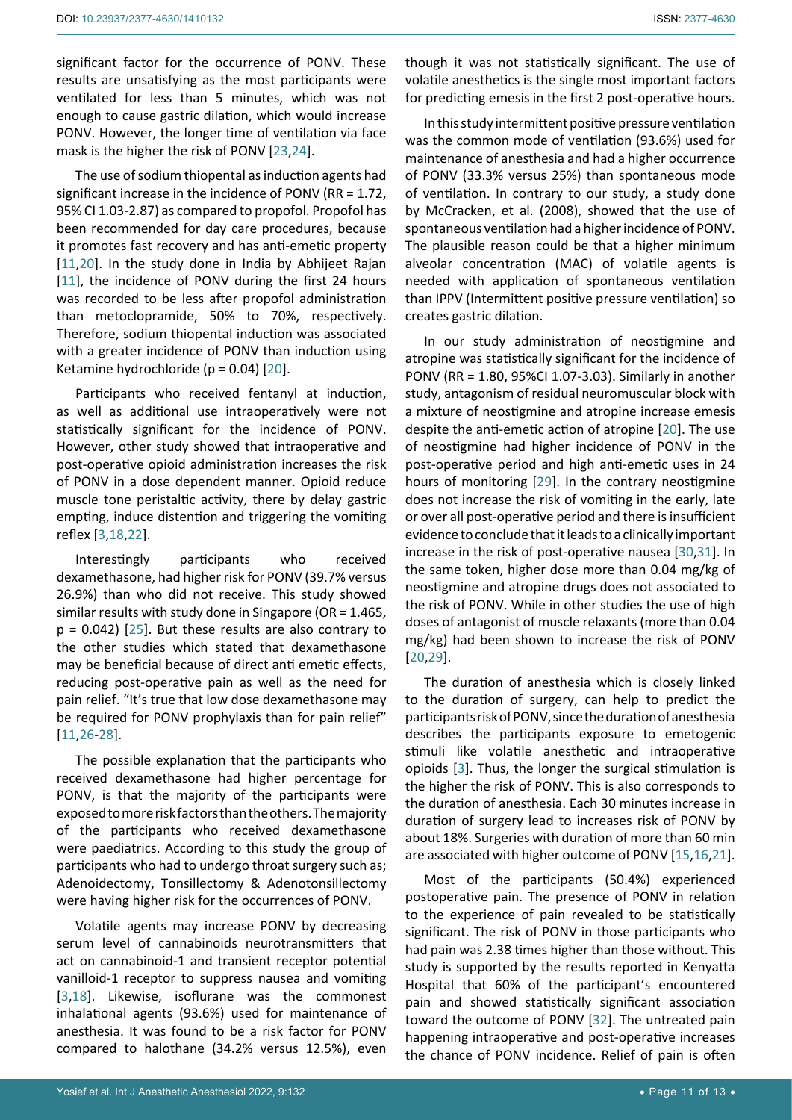significant factor for the occurrence of PONV. These results are unsatisfying as the most participants were ventilated for less than 5 minutes, which was not enough to cause gastric dilation, which would increase PONV. However, the longer time of ventilation via face mask is the higher the risk of PONV [[23](#page-12-14),[24\]](#page-12-15).

The use of sodium thiopental as induction agents had significant increase in the incidence of PONV (RR = 1.72, 95% CI 1.03-2.87) as compared to propofol. Propofol has been recommended for day care procedures, because it promotes fast recovery and has anti-emetic property [[11](#page-11-10),[20](#page-12-8)]. In the study done in India by Abhijeet Rajan [[11](#page-11-10)], the incidence of PONV during the first 24 hours was recorded to be less after propofol administration than metoclopramide, 50% to 70%, respectively. Therefore, sodium thiopental induction was associated with a greater incidence of PONV than induction using Ketamine hydrochloride (p = 0.04) [[20](#page-12-8)].

Participants who received fentanyl at induction, as well as additional use intraoperatively were not statistically significant for the incidence of PONV. However, other study showed that intraoperative and post-operative opioid administration increases the risk of PONV in a dose dependent manner. Opioid reduce muscle tone peristaltic activity, there by delay gastric empting, induce distention and triggering the vomiting reflex [[3](#page-11-2),[18](#page-12-1),[22](#page-12-3)].

Interestingly participants who received dexamethasone, had higher risk for PONV (39.7% versus 26.9%) than who did not receive. This study showed similar results with study done in Singapore (OR = 1.465,  $p = 0.042$ ) [[25](#page-12-16)]. But these results are also contrary to the other studies which stated that dexamethasone may be beneficial because of direct anti emetic effects, reducing post-operative pain as well as the need for pain relief. "It's true that low dose dexamethasone may be required for PONV prophylaxis than for pain relief" [[11](#page-11-10),[26-](#page-12-17)[28](#page-12-18)].

The possible explanation that the participants who received dexamethasone had higher percentage for PONV, is that the majority of the participants were exposed to more risk factors than the others. The majority of the participants who received dexamethasone were paediatrics. According to this study the group of participants who had to undergo throat surgery such as; Adenoidectomy, Tonsillectomy & Adenotonsillectomy were having higher risk for the occurrences of PONV.

Volatile agents may increase PONV by decreasing serum level of cannabinoids neurotransmitters that act on cannabinoid-1 and transient receptor potential vanilloid-1 receptor to suppress nausea and vomiting [[3](#page-11-2),[18](#page-12-1)]. Likewise, isoflurane was the commonest inhalational agents (93.6%) used for maintenance of anesthesia. It was found to be a risk factor for PONV compared to halothane (34.2% versus 12.5%), even

though it was not statistically significant. The use of volatile anesthetics is the single most important factors for predicting emesis in the first 2 post-operative hours.

In this study intermittent positive pressure ventilation was the common mode of ventilation (93.6%) used for maintenance of anesthesia and had a higher occurrence of PONV (33.3% versus 25%) than spontaneous mode of ventilation. In contrary to our study, a study done by McCracken, et al. (2008), showed that the use of spontaneous ventilation had a higher incidence of PONV. The plausible reason could be that a higher minimum alveolar concentration (MAC) of volatile agents is needed with application of spontaneous ventilation than IPPV (Intermittent positive pressure ventilation) so creates gastric dilation.

In our study administration of neostigmine and atropine was statistically significant for the incidence of PONV (RR = 1.80, 95%CI 1.07-3.03). Similarly in another study, antagonism of residual neuromuscular block with a mixture of neostigmine and atropine increase emesis despite the anti-emetic action of atropine [[20](#page-12-8)]. The use of neostigmine had higher incidence of PONV in the post-operative period and high anti-emetic uses in 24 hours of monitoring [[29\]](#page-12-9). In the contrary neostigmine does not increase the risk of vomiting in the early, late or over all post-operative period and there is insufficient evidence to conclude that it leads to a clinically important increase in the risk of post-operative nausea [\[30](#page-12-10),[31](#page-12-11)]. In the same token, higher dose more than 0.04 mg/kg of neostigmine and atropine drugs does not associated to the risk of PONV. While in other studies the use of high doses of antagonist of muscle relaxants (more than 0.04 mg/kg) had been shown to increase the risk of PONV [[20](#page-12-8),[29](#page-12-9)].

The duration of anesthesia which is closely linked to the duration of surgery, can help to predict the participants risk of PONV, since the duration of anesthesia describes the participants exposure to emetogenic stimuli like volatile anesthetic and intraoperative opioids [[3\]](#page-11-2). Thus, the longer the surgical stimulation is the higher the risk of PONV. This is also corresponds to the duration of anesthesia. Each 30 minutes increase in duration of surgery lead to increases risk of PONV by about 18%. Surgeries with duration of more than 60 min are associated with higher outcome of PONV [[15](#page-12-12),[16](#page-12-6),[21\]](#page-12-2).

Most of the participants (50.4%) experienced postoperative pain. The presence of PONV in relation to the experience of pain revealed to be statistically significant. The risk of PONV in those participants who had pain was 2.38 times higher than those without. This study is supported by the results reported in Kenyatta Hospital that 60% of the participant's encountered pain and showed statistically significant association toward the outcome of PONV [[32\]](#page-12-13). The untreated pain happening intraoperative and post-operative increases the chance of PONV incidence. Relief of pain is often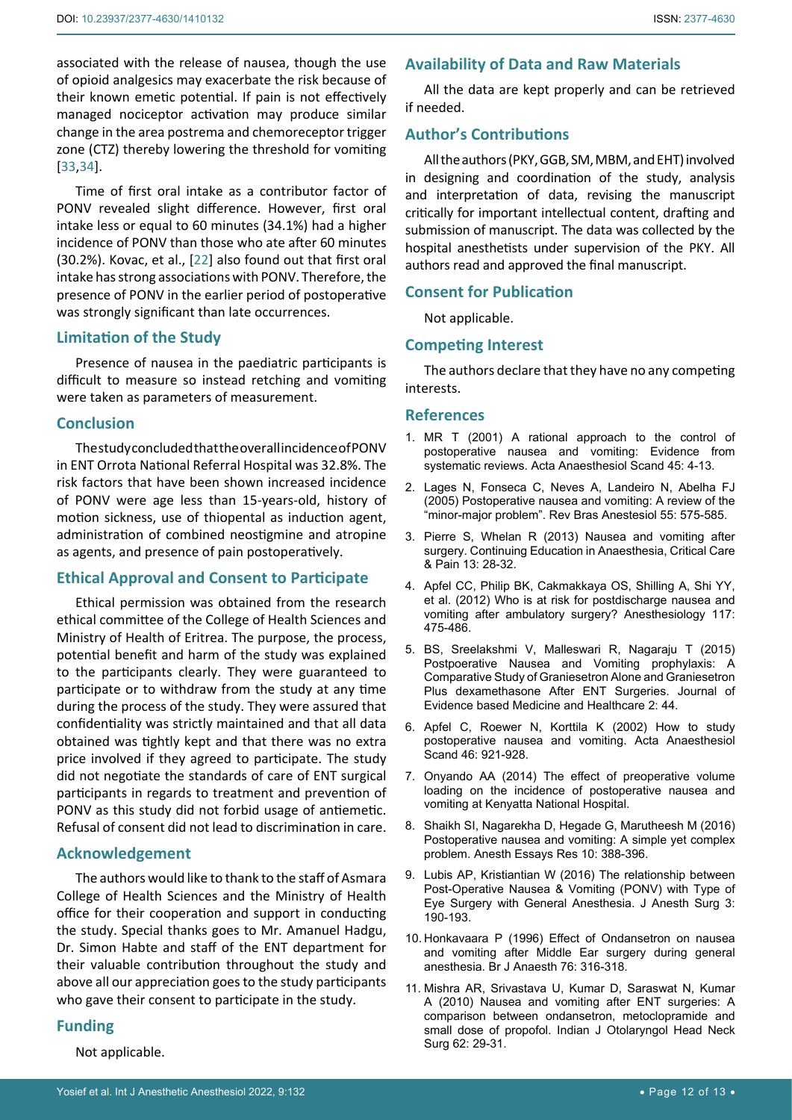associated with the release of nausea, though the use of opioid analgesics may exacerbate the risk because of their known emetic potential. If pain is not effectively managed nociceptor activation may produce similar change in the area postrema and chemoreceptor trigger zone (CTZ) thereby lowering the threshold for vomiting [[33](#page-12-19),[34\]](#page-12-20).

Time of first oral intake as a contributor factor of PONV revealed slight difference. However, first oral intake less or equal to 60 minutes (34.1%) had a higher incidence of PONV than those who ate after 60 minutes (30.2%). Kovac, et al., [[22](#page-12-3)] also found out that first oral intake has strong associations with PONV. Therefore, the presence of PONV in the earlier period of postoperative was strongly significant than late occurrences.

## **Limitation of the Study**

Presence of nausea in the paediatric participants is difficult to measure so instead retching and vomiting were taken as parameters of measurement.

## **Conclusion**

The study concluded that the overall incidence of PONV in ENT Orrota National Referral Hospital was 32.8%. The risk factors that have been shown increased incidence of PONV were age less than 15-years-old, history of motion sickness, use of thiopental as induction agent, administration of combined neostigmine and atropine as agents, and presence of pain postoperatively.

### **Ethical Approval and Consent to Participate**

Ethical permission was obtained from the research ethical committee of the College of Health Sciences and Ministry of Health of Eritrea. The purpose, the process, potential benefit and harm of the study was explained to the participants clearly. They were guaranteed to participate or to withdraw from the study at any time during the process of the study. They were assured that confidentiality was strictly maintained and that all data obtained was tightly kept and that there was no extra price involved if they agreed to participate. The study did not negotiate the standards of care of ENT surgical participants in regards to treatment and prevention of PONV as this study did not forbid usage of antiemetic. Refusal of consent did not lead to discrimination in care.

## **Acknowledgement**

The authors would like to thank to the staff of Asmara College of Health Sciences and the Ministry of Health office for their cooperation and support in conducting the study. Special thanks goes to Mr. Amanuel Hadgu, Dr. Simon Habte and staff of the ENT department for their valuable contribution throughout the study and above all our appreciation goes to the study participants who gave their consent to participate in the study.

## **Funding**

Not applicable.

## **Availability of Data and Raw Materials**

All the data are kept properly and can be retrieved if needed.

## **Author's Contributions**

All the authors (PKY, GGB, SM, MBM, and EHT) involved in designing and coordination of the study, analysis and interpretation of data, revising the manuscript critically for important intellectual content, drafting and submission of manuscript. The data was collected by the hospital anesthetists under supervision of the PKY. All authors read and approved the final manuscript.

## **Consent for Publication**

Not applicable.

## **Competing Interest**

The authors declare that they have no any competing interests.

#### **References**

- <span id="page-11-0"></span>1. [MR T \(2001\) A rational approach to the control of](https://pubmed.ncbi.nlm.nih.gov/11152031/)  [postoperative nausea and vomiting: Evidence from](https://pubmed.ncbi.nlm.nih.gov/11152031/)  [systematic reviews. Acta Anaesthesiol Scand 45: 4-13.](https://pubmed.ncbi.nlm.nih.gov/11152031/)
- <span id="page-11-1"></span>2. [Lages N, Fonseca C, Neves A, Landeiro N, Abelha FJ](https://pubmed.ncbi.nlm.nih.gov/19468649/)  [\(2005\) Postoperative nausea and vomiting: A review of the](https://pubmed.ncbi.nlm.nih.gov/19468649/)  ["minor-major problem". Rev Bras Anestesiol 55: 575-585.](https://pubmed.ncbi.nlm.nih.gov/19468649/)
- <span id="page-11-2"></span>3. [Pierre S, Whelan R \(2013\) Nausea and vomiting after](https://www.scirp.org/(S(351jmbntvnsjt1aadkposzje))/reference/ReferencesPapers.aspx?ReferenceID=1955261)  [surgery. Continuing Education in Anaesthesia, Critical Care](https://www.scirp.org/(S(351jmbntvnsjt1aadkposzje))/reference/ReferencesPapers.aspx?ReferenceID=1955261)  [& Pain 13: 28-32.](https://www.scirp.org/(S(351jmbntvnsjt1aadkposzje))/reference/ReferencesPapers.aspx?ReferenceID=1955261)
- <span id="page-11-7"></span>4. [Apfel CC, Philip BK, Cakmakkaya OS, Shilling A, Shi YY,](https://pubmed.ncbi.nlm.nih.gov/22846680/)  [et al. \(2012\) Who is at risk for postdischarge nausea and](https://pubmed.ncbi.nlm.nih.gov/22846680/)  [vomiting after ambulatory surgery? Anesthesiology 117:](https://pubmed.ncbi.nlm.nih.gov/22846680/)  [475-486.](https://pubmed.ncbi.nlm.nih.gov/22846680/)
- <span id="page-11-3"></span>5. BS, Sreelakshmi V, Malleswari R, Nagaraju T (2015) Postpoerative Nausea and Vomiting prophylaxis: A Comparative Study of Graniesetron Alone and Graniesetron Plus dexamethasone After ENT Surgeries. Journal of Evidence based Medicine and Healthcare 2: 44.
- <span id="page-11-4"></span>6. [Apfel C, Roewer N, Korttila K \(2002\) How to study](https://pubmed.ncbi.nlm.nih.gov/12190791/)  [postoperative nausea and vomiting. Acta Anaesthesiol](https://pubmed.ncbi.nlm.nih.gov/12190791/)  [Scand 46: 921-928.](https://pubmed.ncbi.nlm.nih.gov/12190791/)
- <span id="page-11-5"></span>7. [Onyando AA \(2014\) The effect of preoperative volume](https://www.semanticscholar.org/paper/The-effect-of-preoperative-volume-loading-on-the-of-Onyando/d4b05457460ae50b9b296a6ce2740867a37ce0a7)  [loading on the incidence of postoperative nausea and](https://www.semanticscholar.org/paper/The-effect-of-preoperative-volume-loading-on-the-of-Onyando/d4b05457460ae50b9b296a6ce2740867a37ce0a7)  [vomiting at Kenyatta National Hospital.](https://www.semanticscholar.org/paper/The-effect-of-preoperative-volume-loading-on-the-of-Onyando/d4b05457460ae50b9b296a6ce2740867a37ce0a7)
- <span id="page-11-6"></span>8. [Shaikh SI, Nagarekha D, Hegade G, Marutheesh M \(2016\)](https://pubmed.ncbi.nlm.nih.gov/27746521/)  [Postoperative nausea and vomiting: A simple yet complex](https://pubmed.ncbi.nlm.nih.gov/27746521/)  [problem. Anesth Essays Res 10: 388-396.](https://pubmed.ncbi.nlm.nih.gov/27746521/)
- <span id="page-11-8"></span>9. [Lubis AP, Kristiantian W \(2016\) The relationship between](https://www.ommegaonline.org/article-details/The-Relationship-between-Post-Operative-Nausea--Vomitting-PONV-with-Type-of-Eye-Surgery-with-General-Anesthesia/963)  [Post-Operative Nausea & Vomiting \(PONV\) with Type of](https://www.ommegaonline.org/article-details/The-Relationship-between-Post-Operative-Nausea--Vomitting-PONV-with-Type-of-Eye-Surgery-with-General-Anesthesia/963)  [Eye Surgery with General Anesthesia. J Anesth Surg 3:](https://www.ommegaonline.org/article-details/The-Relationship-between-Post-Operative-Nausea--Vomitting-PONV-with-Type-of-Eye-Surgery-with-General-Anesthesia/963)  [190-193.](https://www.ommegaonline.org/article-details/The-Relationship-between-Post-Operative-Nausea--Vomitting-PONV-with-Type-of-Eye-Surgery-with-General-Anesthesia/963)
- <span id="page-11-9"></span>10. [Honkavaara P \(1996\) Effect of Ondansetron on nausea](https://pubmed.ncbi.nlm.nih.gov/8777119/)  [and vomiting after Middle Ear surgery during general](https://pubmed.ncbi.nlm.nih.gov/8777119/)  [anesthesia. Br J Anaesth 76: 316-318.](https://pubmed.ncbi.nlm.nih.gov/8777119/)
- <span id="page-11-10"></span>11. [Mishra AR, Srivastava U, Kumar D, Saraswat N, Kumar](https://www.ncbi.nlm.nih.gov/pmc/articles/PMC3450154/)  [A \(2010\) Nausea and vomiting after ENT surgeries: A](https://www.ncbi.nlm.nih.gov/pmc/articles/PMC3450154/)  [comparison between ondansetron, metoclopramide and](https://www.ncbi.nlm.nih.gov/pmc/articles/PMC3450154/)  [small dose of propofol. Indian J Otolaryngol Head Neck](https://www.ncbi.nlm.nih.gov/pmc/articles/PMC3450154/)  [Surg 62: 29-31.](https://www.ncbi.nlm.nih.gov/pmc/articles/PMC3450154/)